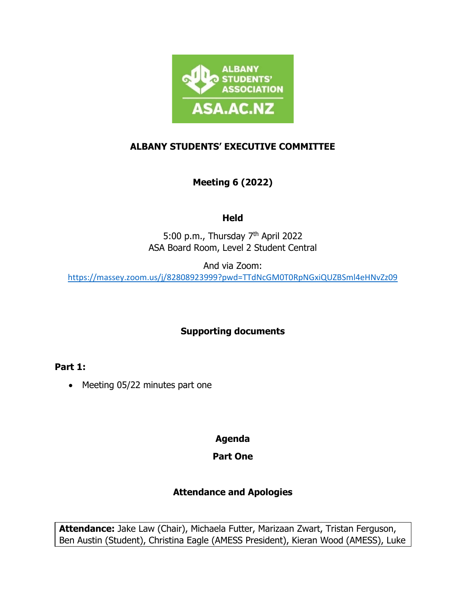

### **ALBANY STUDENTS' EXECUTIVE COMMITTEE**

# **Meeting 6 (2022)**

### **Held**

5:00 p.m., Thursday 7<sup>th</sup> April 2022 ASA Board Room, Level 2 Student Central

And via Zoom:

<https://massey.zoom.us/j/82808923999?pwd=TTdNcGM0T0RpNGxiQUZBSml4eHNvZz09>

### **Supporting documents**

**Part 1:**

• Meeting 05/22 minutes part one

**Agenda**

### **Part One**

# **Attendance and Apologies**

**Attendance:** Jake Law (Chair), Michaela Futter, Marizaan Zwart, Tristan Ferguson, Ben Austin (Student), Christina Eagle (AMESS President), Kieran Wood (AMESS), Luke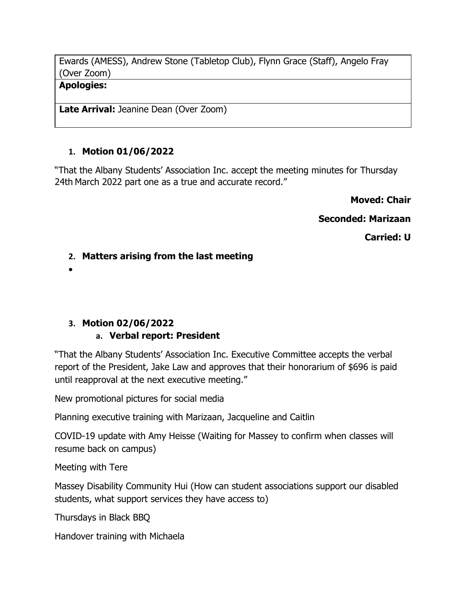Ewards (AMESS), Andrew Stone (Tabletop Club), Flynn Grace (Staff), Angelo Fray (Over Zoom)

#### **Apologies:**

Late Arrival: Jeanine Dean (Over Zoom)

### **1. Motion 01/06/2022**

"That the Albany Students' Association Inc. accept the meeting minutes for Thursday 24th March 2022 part one as a true and accurate record."

#### **Moved: Chair**

**Seconded: Marizaan**

**Carried: U**

### **2. Matters arising from the last meeting**

•

# **3. Motion 02/06/2022**

# **a. Verbal report: President**

"That the Albany Students' Association Inc. Executive Committee accepts the verbal report of the President, Jake Law and approves that their honorarium of \$696 is paid until reapproval at the next executive meeting."

New promotional pictures for social media

Planning executive training with Marizaan, Jacqueline and Caitlin

COVID-19 update with Amy Heisse (Waiting for Massey to confirm when classes will resume back on campus)

Meeting with Tere

Massey Disability Community Hui (How can student associations support our disabled students, what support services they have access to)

Thursdays in Black BBQ

Handover training with Michaela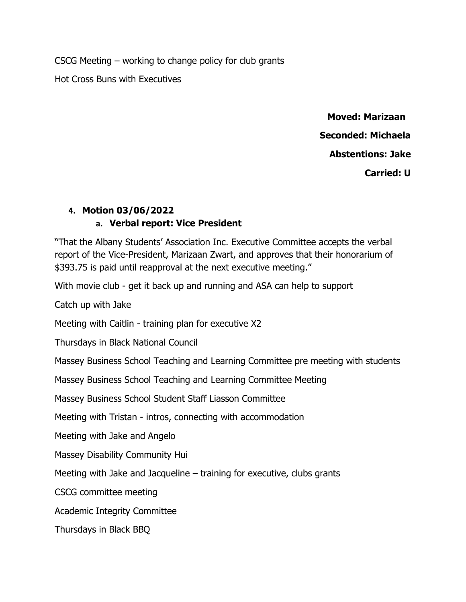CSCG Meeting – working to change policy for club grants

Hot Cross Buns with Executives

 **Moved: Marizaan Seconded: Michaela Abstentions: Jake Carried: U** 

### **4. Motion 03/06/2022 a. Verbal report: Vice President**

"That the Albany Students' Association Inc. Executive Committee accepts the verbal report of the Vice-President, Marizaan Zwart, and approves that their honorarium of \$393.75 is paid until reapproval at the next executive meeting."

With movie club - get it back up and running and ASA can help to support

Catch up with Jake

Meeting with Caitlin - training plan for executive X2

Thursdays in Black National Council

Massey Business School Teaching and Learning Committee pre meeting with students

Massey Business School Teaching and Learning Committee Meeting

Massey Business School Student Staff Liasson Committee

Meeting with Tristan - intros, connecting with accommodation

Meeting with Jake and Angelo

Massey Disability Community Hui

Meeting with Jake and Jacqueline – training for executive, clubs grants

CSCG committee meeting

Academic Integrity Committee

Thursdays in Black BBQ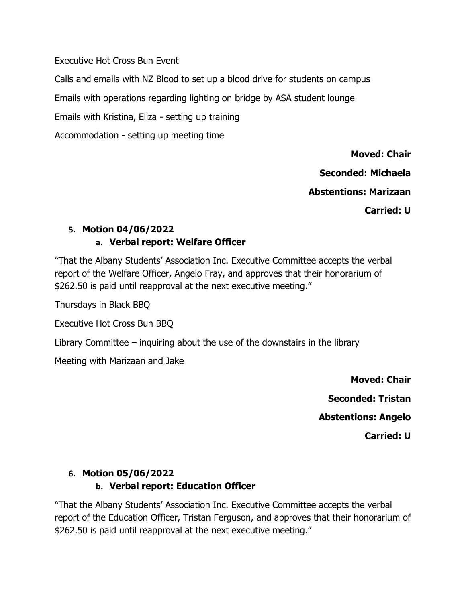Executive Hot Cross Bun Event

Calls and emails with NZ Blood to set up a blood drive for students on campus

Emails with operations regarding lighting on bridge by ASA student lounge

Emails with Kristina, Eliza - setting up training

Accommodation - setting up meeting time

**Moved: Chair** 

**Seconded: Michaela**

**Abstentions: Marizaan**

**Carried: U**

# **5. Motion 04/06/2022 a. Verbal report: Welfare Officer**

"That the Albany Students' Association Inc. Executive Committee accepts the verbal report of the Welfare Officer, Angelo Fray, and approves that their honorarium of \$262.50 is paid until reapproval at the next executive meeting."

Thursdays in Black BBQ

Executive Hot Cross Bun BBQ

Library Committee – inquiring about the use of the downstairs in the library

Meeting with Marizaan and Jake

**Moved: Chair Seconded: Tristan Abstentions: Angelo Carried: U** 

### **6. Motion 05/06/2022**

### **b. Verbal report: Education Officer**

"That the Albany Students' Association Inc. Executive Committee accepts the verbal report of the Education Officer, Tristan Ferguson, and approves that their honorarium of \$262.50 is paid until reapproval at the next executive meeting."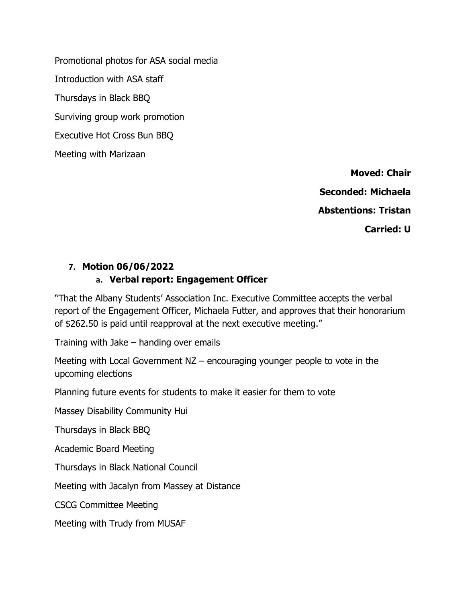Promotional photos for ASA social media Introduction with ASA staff Thursdays in Black BBQ Surviving group work promotion Executive Hot Cross Bun BBQ Meeting with Marizaan

> **Moved: Chair Seconded: Michaela Abstentions: Tristan Carried: U**

### **7. Motion 06/06/2022**

#### **a. Verbal report: Engagement Officer**

"That the Albany Students' Association Inc. Executive Committee accepts the verbal report of the Engagement Officer, Michaela Futter, and approves that their honorarium of \$262.50 is paid until reapproval at the next executive meeting."

Training with Jake – handing over emails

Meeting with Local Government NZ – encouraging younger people to vote in the upcoming elections

Planning future events for students to make it easier for them to vote

Massey Disability Community Hui

Thursdays in Black BBQ

Academic Board Meeting

Thursdays in Black National Council

Meeting with Jacalyn from Massey at Distance

CSCG Committee Meeting

Meeting with Trudy from MUSAF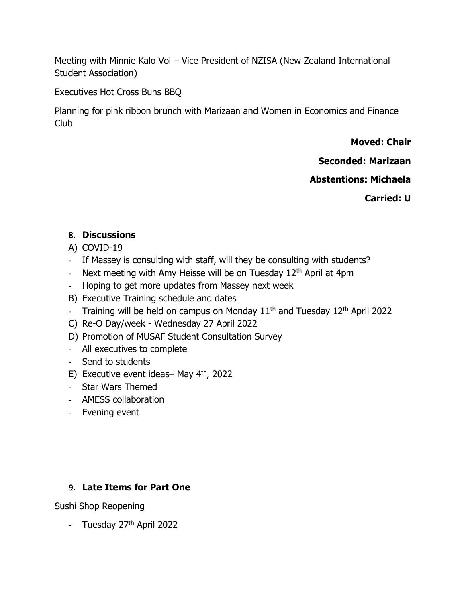Meeting with Minnie Kalo Voi – Vice President of NZISA (New Zealand International Student Association)

Executives Hot Cross Buns BBQ

Planning for pink ribbon brunch with Marizaan and Women in Economics and Finance Club

**Moved: Chair**

**Seconded: Marizaan**

**Abstentions: Michaela**

**Carried: U**

### **8. Discussions**

- A) COVID-19
- If Massey is consulting with staff, will they be consulting with students?
- Next meeting with Amy Heisse will be on Tuesday  $12<sup>th</sup>$  April at 4pm
- Hoping to get more updates from Massey next week
- B) Executive Training schedule and dates
- Training will be held on campus on Monday  $11<sup>th</sup>$  and Tuesday  $12<sup>th</sup>$  April 2022
- C) Re-O Day/week Wednesday 27 April 2022
- D) Promotion of MUSAF Student Consultation Survey
- All executives to complete
- Send to students
- E) Executive event ideas– May  $4<sup>th</sup>$ , 2022
- Star Wars Themed
- AMESS collaboration
- Evening event

### **9. Late Items for Part One**

Sushi Shop Reopening

- Tuesday 27<sup>th</sup> April 2022